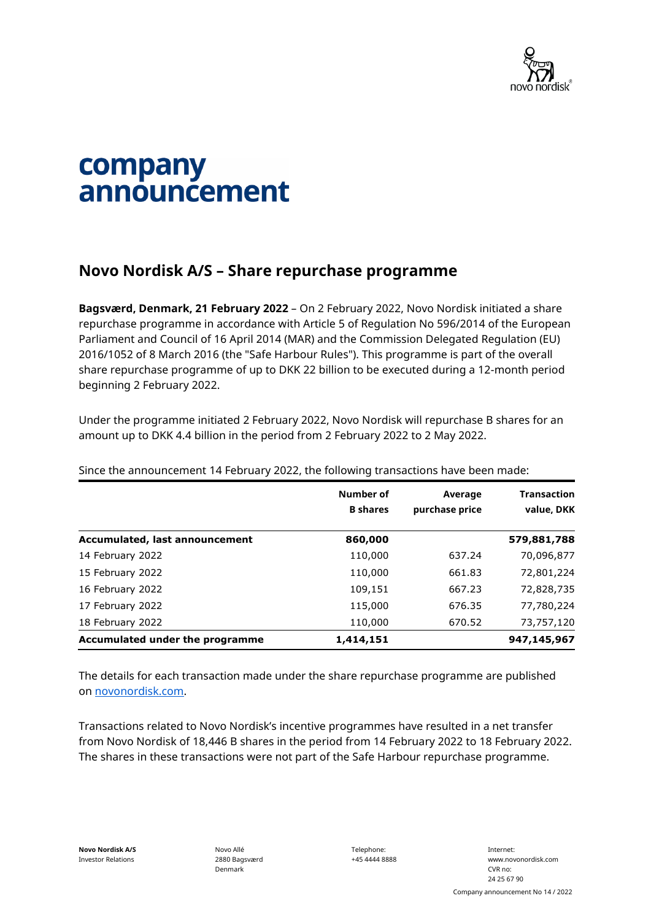

## company announcement

## **Novo Nordisk A/S – Share repurchase programme**

**Bagsværd, Denmark, 21 February 2022** – On 2 February 2022, Novo Nordisk initiated a share repurchase programme in accordance with Article 5 of Regulation No 596/2014 of the European Parliament and Council of 16 April 2014 (MAR) and the Commission Delegated Regulation (EU) 2016/1052 of 8 March 2016 (the "Safe Harbour Rules"). This programme is part of the overall share repurchase programme of up to DKK 22 billion to be executed during a 12-month period beginning 2 February 2022.

Under the programme initiated 2 February 2022, Novo Nordisk will repurchase B shares for an amount up to DKK 4.4 billion in the period from 2 February 2022 to 2 May 2022.

|                                 | Number of<br><b>B</b> shares | Average<br>purchase price | <b>Transaction</b><br>value, DKK |
|---------------------------------|------------------------------|---------------------------|----------------------------------|
| Accumulated, last announcement  | 860,000                      |                           | 579,881,788                      |
| 14 February 2022                | 110,000                      | 637.24                    | 70,096,877                       |
| 15 February 2022                | 110,000                      | 661.83                    | 72,801,224                       |
| 16 February 2022                | 109,151                      | 667.23                    | 72,828,735                       |
| 17 February 2022                | 115,000                      | 676.35                    | 77,780,224                       |
| 18 February 2022                | 110,000                      | 670.52                    | 73,757,120                       |
| Accumulated under the programme | 1,414,151                    |                           | 947,145,967                      |

Since the announcement 14 February 2022, the following transactions have been made:

The details for each transaction made under the share repurchase programme are published on [novonordisk.com.](https://www.novonordisk.com/news-and-media/news-and-ir-materials.html)

Transactions related to Novo Nordisk's incentive programmes have resulted in a net transfer from Novo Nordisk of 18,446 B shares in the period from 14 February 2022 to 18 February 2022. The shares in these transactions were not part of the Safe Harbour repurchase programme.

Novo Allé 2880 Bagsværd Denmark

Telephone: +45 4444 8888